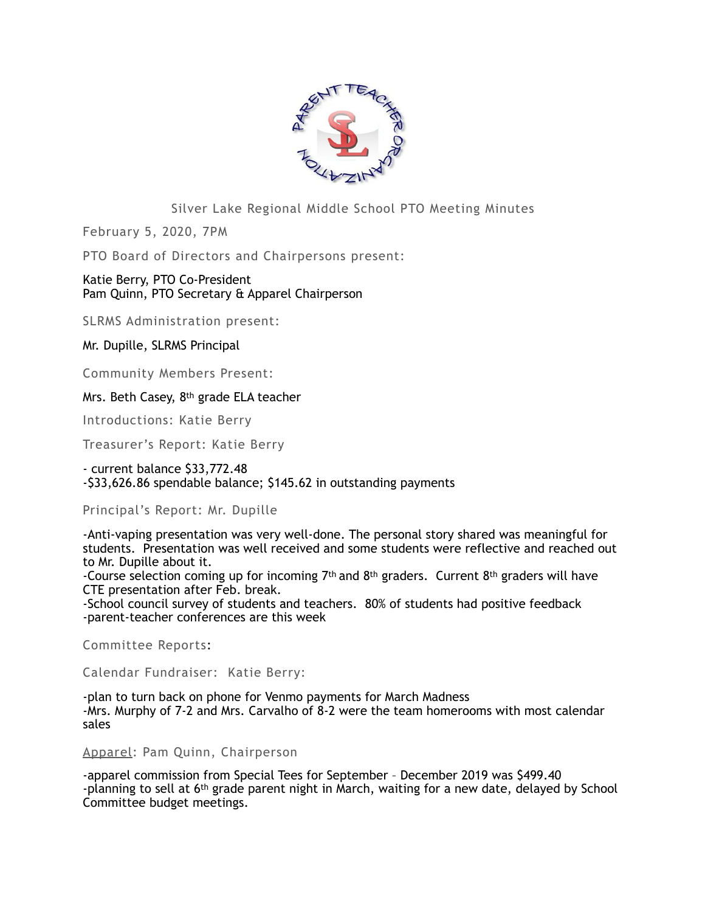

# Silver Lake Regional Middle School PTO Meeting Minutes

February 5, 2020, 7PM

PTO Board of Directors and Chairpersons present:

## Katie Berry, PTO Co-President Pam Quinn, PTO Secretary & Apparel Chairperson

SLRMS Administration present:

## Mr. Dupille, SLRMS Principal

Community Members Present:

Mrs. Beth Casey, 8th grade ELA teacher

Introductions: Katie Berry

Treasurer's Report: Katie Berry

- current balance \$33,772.48 -\$33,626.86 spendable balance; \$145.62 in outstanding payments

#### Principal's Report: Mr. Dupille

-Anti-vaping presentation was very well-done. The personal story shared was meaningful for students. Presentation was well received and some students were reflective and reached out to Mr. Dupille about it.

-Course selection coming up for incoming 7th and 8th graders. Current 8th graders will have CTE presentation after Feb. break.

-School council survey of students and teachers. 80% of students had positive feedback -parent-teacher conferences are this week

Committee Reports:

Calendar Fundraiser: Katie Berry:

-plan to turn back on phone for Venmo payments for March Madness -Mrs. Murphy of 7-2 and Mrs. Carvalho of 8-2 were the team homerooms with most calendar sales

Apparel: Pam Quinn, Chairperson

-apparel commission from Special Tees for September – December 2019 was \$499.40 -planning to sell at 6th grade parent night in March, waiting for a new date, delayed by School Committee budget meetings.